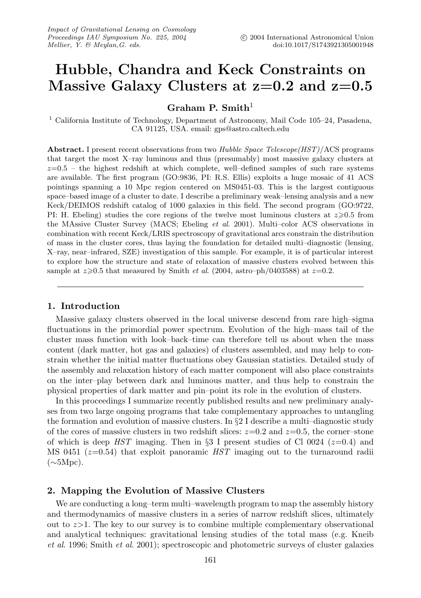# **Hubble, Chandra and Keck Constraints on Massive Galaxy Clusters at z=0.2 and z=0.5**

**Graham P. Smith**<sup>1</sup>

<sup>1</sup> California Institute of Technology, Department of Astronomy, Mail Code 105–24, Pasadena, CA 91125, USA. email: gps@astro.caltech.edu

**Abstract.** I present recent observations from two Hubble Space Telescope(HST)/ACS programs that target the most X–ray luminous and thus (presumably) most massive galaxy clusters at  $z=0.5$  – the highest redshift at which complete, well-defined samples of such rare systems are available. The first program (GO:9836, PI: R.S. Ellis) exploits a huge mosaic of 41 ACS pointings spanning a 10 Mpc region centered on MS0451-03. This is the largest contiguous space–based image of a cluster to date. I describe a preliminary weak–lensing analysis and a new Keck/DEIMOS redshift catalog of 1000 galaxies in this field. The second program (GO:9722, PI: H. Ebeling) studies the core regions of the twelve most luminous clusters at  $z \ge 0.5$  from the MAssive Cluster Survey (MACS; Ebeling et al. 2001). Multi–color ACS observations in combination with recent Keck/LRIS spectroscopy of gravitational arcs constrain the distribution of mass in the cluster cores, thus laying the foundation for detailed multi–diagnostic (lensing, X–ray, near–infrared, SZE) investigation of this sample. For example, it is of particular interest to explore how the structure and state of relaxation of massive clusters evolved between this sample at  $z \ge 0.5$  that measured by Smith *et al.* (2004, astro–ph/0403588) at  $z=0.2$ .

# **1. Introduction**

Massive galaxy clusters observed in the local universe descend from rare high–sigma fluctuations in the primordial power spectrum. Evolution of the high–mass tail of the cluster mass function with look–back–time can therefore tell us about when the mass content (dark matter, hot gas and galaxies) of clusters assembled, and may help to constrain whether the initial matter fluctuations obey Gaussian statistics. Detailed study of the assembly and relaxation history of each matter component will also place constraints on the inter–play between dark and luminous matter, and thus help to constrain the physical properties of dark matter and pin–point its role in the evolution of clusters.

In this proceedings I summarize recently published results and new preliminary analyses from two large ongoing programs that take complementary approaches to untangling the formation and evolution of massive clusters. In §2 I describe a multi–diagnostic study of the cores of massive clusters in two redshift slices:  $z=0.2$  and  $z=0.5$ , the corner–stone of which is deep HST imaging. Then in §3 I present studies of Cl 0024 ( $z=0.4$ ) and MS 0451 ( $z=0.54$ ) that exploit panoramic HST imaging out to the turnaround radii  $(\sim 5 \text{Mpc})$ .

# **2. Mapping the Evolution of Massive Clusters**

We are conducting a long–term multi–wavelength program to map the assembly history and thermodynamics of massive clusters in a series of narrow redshift slices, ultimately out to  $z>1$ . The key to our survey is to combine multiple complementary observational and analytical techniques: gravitational lensing studies of the total mass (e.g. Kneib et al. 1996; Smith et al. 2001); spectroscopic and photometric surveys of cluster galaxies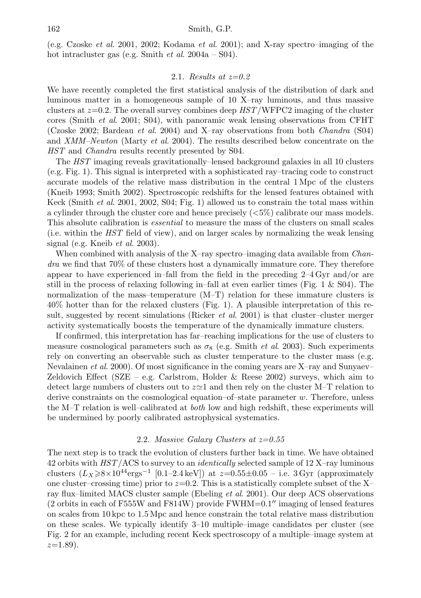(e.g. Czoske et al. 2001, 2002; Kodama et al. 2001); and X-ray spectro–imaging of the hot intracluster gas (e.g. Smith et al. 2004a – S04).

#### 2.1. Results at  $z=0.2$

We have recently completed the first statistical analysis of the distribution of dark and luminous matter in a homogeneous sample of 10 X–ray luminous, and thus massive clusters at  $z=0.2$ . The overall survey combines deep  $HST/WFPC2$  imaging of the cluster cores (Smith et al. 2001; S04), with panoramic weak lensing observations from CFHT (Czoske 2002; Bardeau *et al.* 2004) and X-ray observations from both *Chandra* (S04) and XMM–Newton (Marty et al. 2004). The results described below concentrate on the HST and *Chandra* results recently presented by S04.

The HST imaging reveals gravitationally–lensed background galaxies in all 10 clusters (e.g. Fig. 1). This signal is interpreted with a sophisticated ray–tracing code to construct accurate models of the relative mass distribution in the central 1 Mpc of the clusters (Kneib 1993; Smith 2002). Spectroscopic redshifts for the lensed features obtained with Keck (Smith et al. 2001, 2002, S04; Fig. 1) allowed us to constrain the total mass within a cylinder through the cluster core and hence precisely  $(<5\%)$  calibrate our mass models. This absolute calibration is essential to measure the mass of the clusters on small scales (i.e. within the  $HST$  field of view), and on larger scales by normalizing the weak lensing signal (e.g. Kneib et al. 2003).

When combined with analysis of the X-ray spectro–imaging data available from *Chan* $dra$  we find that  $70\%$  of these clusters host a dynamically immature core. They therefore appear to have experienced in–fall from the field in the preceding 2–4 Gyr and/or are still in the process of relaxing following in–fall at even earlier times (Fig. 1  $\&$  S04). The normalization of the mass–temperature (M–T) relation for these immature clusters is 40% hotter than for the relaxed clusters (Fig. 1). A plausible interpretation of this result, suggested by recent simulations (Ricker *et al.* 2001) is that cluster–cluster merger activity systematically boosts the temperature of the dynamically immature clusters.

If confirmed, this interpretation has far–reaching implications for the use of clusters to measure cosmological parameters such as  $\sigma_8$  (e.g. Smith *et al.* 2003). Such experiments rely on converting an observable such as cluster temperature to the cluster mass (e.g. Nevalainen *et al.* 2000). Of most significance in the coming years are X-ray and Sunyaev-Zeldovich Effect (SZE – e.g. Carlstrom, Holder & Reese 2002) surveys, which aim to detect large numbers of clusters out to  $z\simeq 1$  and then rely on the cluster M-T relation to derive constraints on the cosmological equation–of–state parameter w. Therefore, unless the M–T relation is well–calibrated at both low and high redshift, these experiments will be undermined by poorly calibrated astrophysical systematics.

# 2.2. Massive Galaxy Clusters at  $z=0.55$

The next step is to track the evolution of clusters further back in time. We have obtained 42 orbits with HST/ACS to survey to an identically selected sample of 12 X–ray luminous clusters  $(L_X\ge 8\times10^{44}$ ergs<sup>-1</sup> [0.1–2.4 keV]) at z=0.55 $\pm$ 0.05 – i.e. 3 Gyr (approximately one cluster–crossing time) prior to  $z=0.2$ . This is a statistically complete subset of the X– ray flux–limited MACS cluster sample (Ebeling et al. 2001). Our deep ACS observations  $(2 \text{ orbits in each of } F555W \text{ and } F814W)$  provide FWHM=0.1" imaging of lensed features on scales from 10 kpc to 1.5 Mpc and hence constrain the total relative mass distribution on these scales. We typically identify 3–10 multiple–image candidates per cluster (see Fig. 2 for an example, including recent Keck spectroscopy of a multiple–image system at  $z=1.89$ ).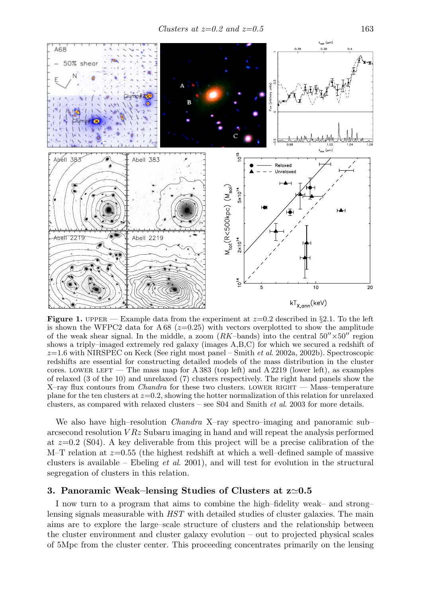Clusters at  $z=0.2$  and  $z=0.5$  163



**Figure 1.** UPPER — Example data from the experiment at  $z=0.2$  described in §2.1. To the left is shown the WFPC2 data for A 68 ( $z=0.25$ ) with vectors overplotted to show the amplitude of the weak shear signal. In the middle, a zoom  $(RK$ –bands) into the central  $50'' \times 50''$  region shows a triply–imaged extremely red galaxy (images A,B,C) for which we secured a redshift of  $z=1.6$  with NIRSPEC on Keck (See right most panel – Smith *et al.* 2002a, 2002b). Spectroscopic redshifts are essential for constructing detailed models of the mass distribution in the cluster cores. LOWER LEFT — The mass map for A 383 (top left) and A 2219 (lower left), as examples of relaxed (3 of the 10) and unrelaxed (7) clusters respectively. The right hand panels show the X–ray flux contours from *Chandra* for these two clusters. LOWER RIGHT — Mass–temperature plane for the ten clusters at  $z=0.2$ , showing the hotter normalization of this relation for unrelaxed clusters, as compared with relaxed clusters – see S04 and Smith et al. 2003 for more details.

We also have high–resolution *Chandra X*–ray spectro–imaging and panoramic sub– arcsecond resolution  $VRz$  Subaru imaging in hand and will repeat the analysis performed at  $z=0.2$  (S04). A key deliverable from this project will be a precise calibration of the M–T relation at  $z=0.55$  (the highest redshift at which a well–defined sample of massive clusters is available – Ebeling *et al.* 2001), and will test for evolution in the structural segregation of clusters in this relation.

# $3.$  Panoramic Weak–lensing Studies of Clusters at  $z{\simeq}0.5$

I now turn to a program that aims to combine the high–fidelity weak– and strong– lensing signals measurable with HST with detailed studies of cluster galaxies. The main aims are to explore the large–scale structure of clusters and the relationship between the cluster environment and cluster galaxy evolution – out to projected physical scales of 5Mpc from the cluster center. This proceeding concentrates primarily on the lensing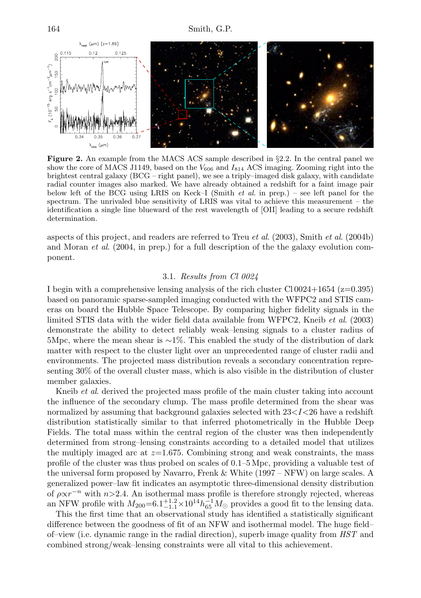

**Figure 2.** An example from the MACS ACS sample described in §2.2. In the central panel we show the core of MACS J1149, based on the  $V_{606}$  and  $I_{814}$  ACS imaging. Zooming right into the brightest central galaxy (BCG – right panel), we see a triply–imaged disk galaxy, with candidate radial counter images also marked. We have already obtained a redshift for a faint image pair below left of the BCG using LRIS on Keck–I (Smith *et al.* in prep.) – see left panel for the spectrum. The unrivaled blue sensitivity of LRIS was vital to achieve this measurement – the identification a single line blueward of the rest wavelength of [OII] leading to a secure redshift determination.

aspects of this project, and readers are referred to Treu et al. (2003), Smith et al. (2004b) and Moran et al. (2004, in prep.) for a full description of the the galaxy evolution component.

# 3.1. Results from Cl 0024

I begin with a comprehensive lensing analysis of the rich cluster Cl 0024+1654 ( $z=0.395$ ) based on panoramic sparse-sampled imaging conducted with the WFPC2 and STIS cameras on board the Hubble Space Telescope. By comparing higher fidelity signals in the limited STIS data with the wider field data available from WFPC2, Kneib et al. (2003) demonstrate the ability to detect reliably weak–lensing signals to a cluster radius of 5Mpc, where the mean shear is ∼1%. This enabled the study of the distribution of dark matter with respect to the cluster light over an unprecedented range of cluster radii and environments. The projected mass distribution reveals a secondary concentration representing 30% of the overall cluster mass, which is also visible in the distribution of cluster member galaxies.

Kneib *et al.* derived the projected mass profile of the main cluster taking into account the influence of the secondary clump. The mass profile determined from the shear was normalized by assuming that background galaxies selected with  $23 < I < 26$  have a redshift distribution statistically similar to that inferred photometrically in the Hubble Deep Fields. The total mass within the central region of the cluster was then independently determined from strong–lensing constraints according to a detailed model that utilizes the multiply imaged arc at  $z=1.675$ . Combining strong and weak constraints, the mass profile of the cluster was thus probed on scales of 0.1–5 Mpc, providing a valuable test of the universal form proposed by Navarro, Frenk & White (1997 – NFW) on large scales. A generalized power–law fit indicates an asymptotic three-dimensional density distribution of  $\rho \propto r^{-n}$  with  $n>2.4$ . An isothermal mass profile is therefore strongly rejected, whereas an NFW profile with  $M_{200} = 6.1^{+1.2}_{-1.1} \times 10^{14} h_{65}^{-1} M_{\odot}$  provides a good fit to the lensing data.

This the first time that an observational study has identified a statistically significant difference between the goodness of fit of an NFW and isothermal model. The huge field– of–view (i.e. dynamic range in the radial direction), superb image quality from HST and combined strong/weak–lensing constraints were all vital to this achievement.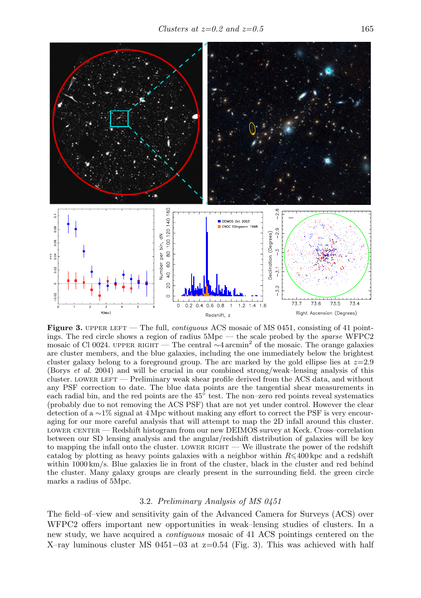

**Figure 3.** UPPER LEFT — The full, *contiguous* ACS mosaic of MS 0451, consisting of 41 pointings. The red circle shows a region of radius 5Mpc — the scale probed by the sparse WFPC2 mosaic of Cl 0024. upper RIGHT — The central  $\sim$ 4 arcmin<sup>2</sup> of the mosaic. The orange galaxies are cluster members, and the blue galaxies, including the one immediately below the brightest cluster galaxy belong to a foreground group. The arc marked by the gold ellipse lies at  $z=2.9$ (Borys et al. 2004) and will be crucial in our combined strong/weak–lensing analysis of this cluster. LOWER LEFT — Preliminary weak shear profile derived from the ACS data, and without any PSF correction to date. The blue data points are the tangential shear measurements in each radial bin, and the red points are the 45◦ test. The non–zero red points reveal systematics (probably due to not removing the ACS PSF) that are not yet under control. However the clear detection of a ∼1% signal at 4 Mpc without making any effort to correct the PSF is very encouraging for our more careful analysis that will attempt to map the 2D infall around this cluster. lower center — Redshift histogram from our new DEIMOS survey at Keck. Cross–correlation between our SD lensing analysis and the angular/redshift distribution of galaxies will be key to mapping the infall onto the cluster. LOWER RIGHT — We illustrate the power of the redshift catalog by plotting as heavy points galaxies with a neighbor within  $R \leq 400$  kpc and a redshift within 1000 km/s. Blue galaxies lie in front of the cluster, black in the cluster and red behind the cluster. Many galaxy groups are clearly present in the surrounding field. the green circle marks a radius of 5Mpc.

## 3.2. Preliminary Analysis of MS 0451

The field–of–view and sensitivity gain of the Advanced Camera for Surveys (ACS) over WFPC2 offers important new opportunities in weak–lensing studies of clusters. In a new study, we have acquired a contiguous mosaic of 41 ACS pointings centered on the X–ray luminous cluster MS 0451–03 at  $z=0.54$  (Fig. 3). This was achieved with half